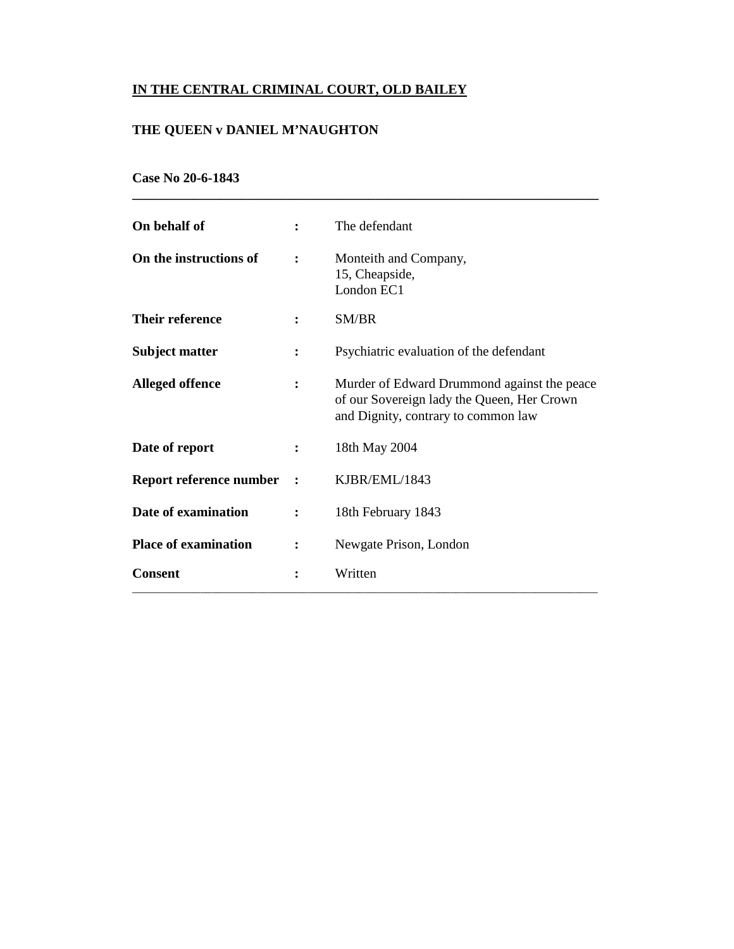# **IN THE CENTRAL CRIMINAL COURT, OLD BAILEY**

# **THE QUEEN v DANIEL M'NAUGHTON**

**Case No 20-6-1843** 

| On behalf of                |                | The defendant                                                                                                                    |
|-----------------------------|----------------|----------------------------------------------------------------------------------------------------------------------------------|
| On the instructions of      | $\ddot{\cdot}$ | Monteith and Company,<br>15, Cheapside,<br>London EC1                                                                            |
| <b>Their reference</b>      |                | SM/BR                                                                                                                            |
| <b>Subject matter</b>       | $\ddot{\cdot}$ | Psychiatric evaluation of the defendant                                                                                          |
| <b>Alleged offence</b>      | $\ddot{\cdot}$ | Murder of Edward Drummond against the peace<br>of our Sovereign lady the Queen, Her Crown<br>and Dignity, contrary to common law |
| Date of report              |                | 18th May 2004                                                                                                                    |
| Report reference number     | $\ddot{\cdot}$ | KJBR/EML/1843                                                                                                                    |
| Date of examination         | $\ddot{\cdot}$ | 18th February 1843                                                                                                               |
| <b>Place of examination</b> | $\ddot{\cdot}$ | Newgate Prison, London                                                                                                           |
| <b>Consent</b>              |                | Written                                                                                                                          |

**\_\_\_\_\_\_\_\_\_\_\_\_\_\_\_\_\_\_\_\_\_\_\_\_\_\_\_\_\_\_\_\_\_\_\_\_\_\_\_\_\_\_\_\_\_\_\_\_\_\_\_\_\_\_\_\_\_\_\_\_\_\_\_\_\_\_\_\_\_**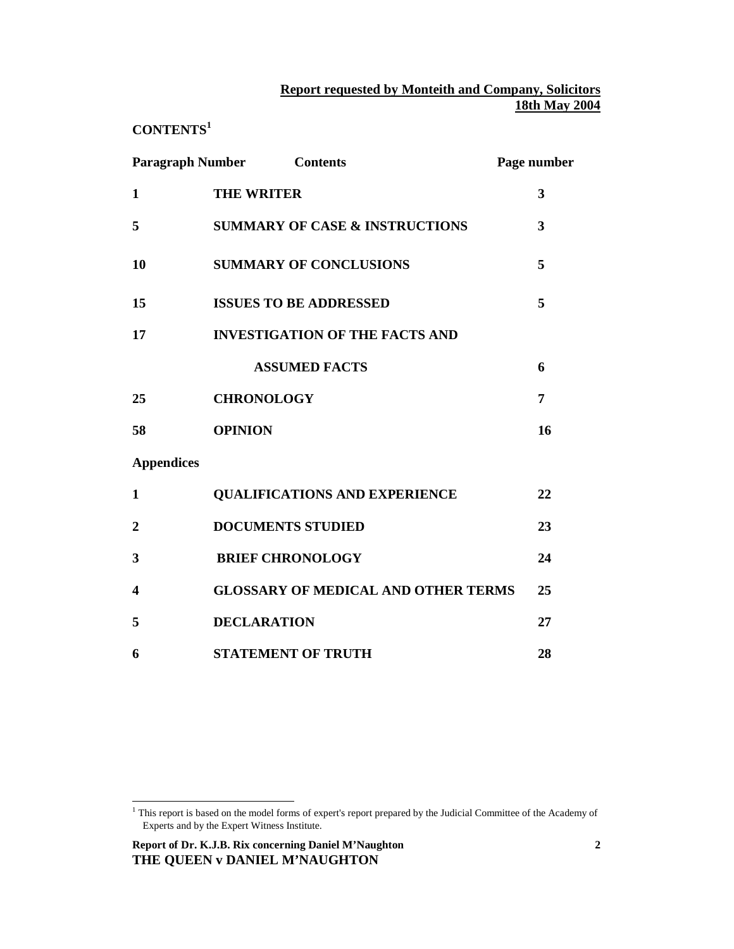**CONTENTS<sup>1</sup>**

|                   | <b>Paragraph Number Contents</b>           | Page number             |
|-------------------|--------------------------------------------|-------------------------|
| $\mathbf{1}$      | <b>THE WRITER</b>                          | 3                       |
| 5                 | <b>SUMMARY OF CASE &amp; INSTRUCTIONS</b>  | $\overline{\mathbf{3}}$ |
| 10                | <b>SUMMARY OF CONCLUSIONS</b>              | 5                       |
| 15                | <b>ISSUES TO BE ADDRESSED</b>              | 5                       |
| 17                | <b>INVESTIGATION OF THE FACTS AND</b>      |                         |
|                   | <b>ASSUMED FACTS</b>                       | 6                       |
| 25                | <b>CHRONOLOGY</b>                          | 7                       |
| 58                | <b>OPINION</b>                             | 16                      |
| <b>Appendices</b> |                                            |                         |
| 1                 | <b>QUALIFICATIONS AND EXPERIENCE</b>       | 22                      |
| $\overline{2}$    | <b>DOCUMENTS STUDIED</b>                   | 23                      |
| 3                 | <b>BRIEF CHRONOLOGY</b>                    | 24                      |
| 4                 | <b>GLOSSARY OF MEDICAL AND OTHER TERMS</b> | 25                      |
| 5                 | <b>DECLARATION</b>                         | 27                      |
| 6                 | <b>STATEMENT OF TRUTH</b>                  | 28                      |

<sup>&</sup>lt;sup>1</sup> This report is based on the model forms of expert's report prepared by the Judicial Committee of the Academy of Experts and by the Expert Witness Institute.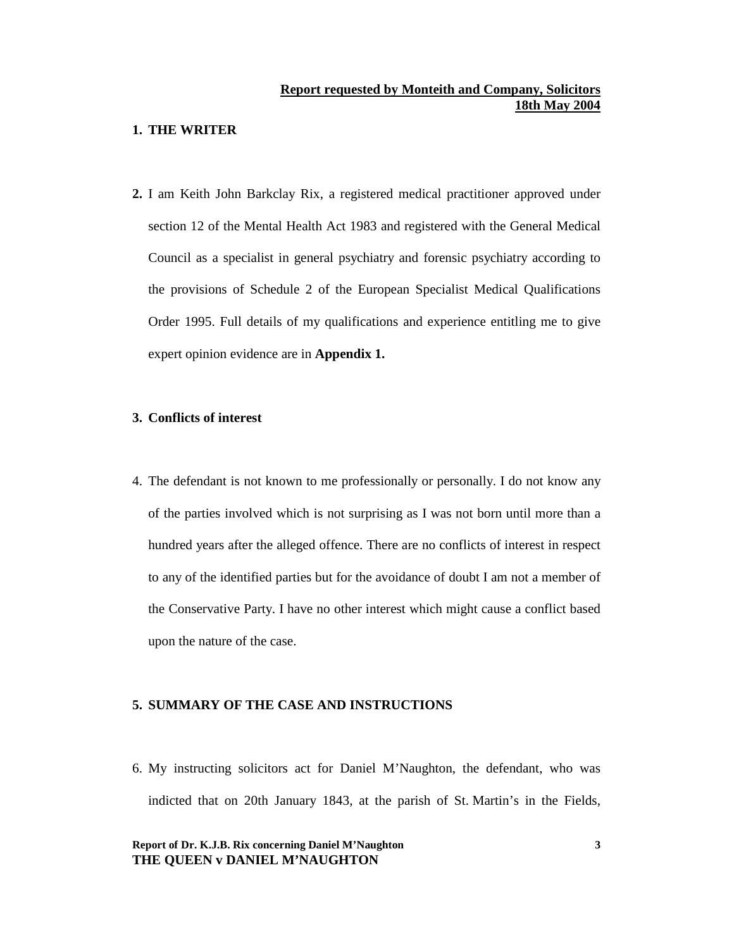#### **1. THE WRITER**

**2.** I am Keith John Barkclay Rix, a registered medical practitioner approved under section 12 of the Mental Health Act 1983 and registered with the General Medical Council as a specialist in general psychiatry and forensic psychiatry according to the provisions of Schedule 2 of the European Specialist Medical Qualifications Order 1995. Full details of my qualifications and experience entitling me to give expert opinion evidence are in **Appendix 1.** 

## **3. Conflicts of interest**

4. The defendant is not known to me professionally or personally. I do not know any of the parties involved which is not surprising as I was not born until more than a hundred years after the alleged offence. There are no conflicts of interest in respect to any of the identified parties but for the avoidance of doubt I am not a member of the Conservative Party. I have no other interest which might cause a conflict based upon the nature of the case.

### **5. SUMMARY OF THE CASE AND INSTRUCTIONS**

6. My instructing solicitors act for Daniel M'Naughton, the defendant, who was indicted that on 20th January 1843, at the parish of St. Martin's in the Fields,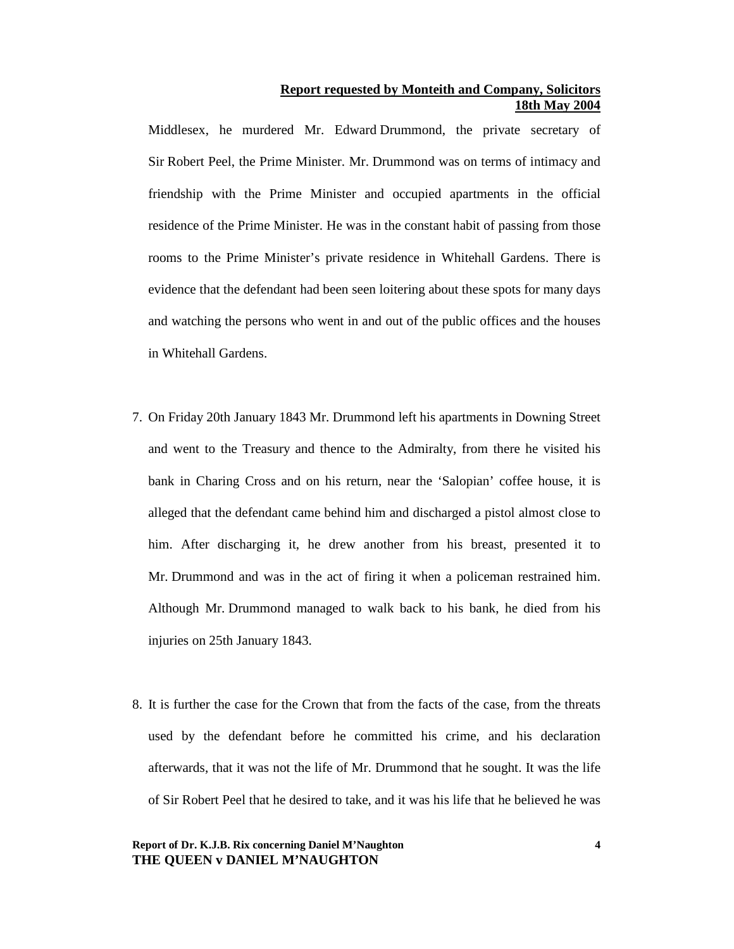Middlesex, he murdered Mr. Edward Drummond, the private secretary of Sir Robert Peel, the Prime Minister. Mr. Drummond was on terms of intimacy and friendship with the Prime Minister and occupied apartments in the official residence of the Prime Minister. He was in the constant habit of passing from those rooms to the Prime Minister's private residence in Whitehall Gardens. There is evidence that the defendant had been seen loitering about these spots for many days and watching the persons who went in and out of the public offices and the houses in Whitehall Gardens.

- 7. On Friday 20th January 1843 Mr. Drummond left his apartments in Downing Street and went to the Treasury and thence to the Admiralty, from there he visited his bank in Charing Cross and on his return, near the 'Salopian' coffee house, it is alleged that the defendant came behind him and discharged a pistol almost close to him. After discharging it, he drew another from his breast, presented it to Mr. Drummond and was in the act of firing it when a policeman restrained him. Although Mr. Drummond managed to walk back to his bank, he died from his injuries on 25th January 1843.
- 8. It is further the case for the Crown that from the facts of the case, from the threats used by the defendant before he committed his crime, and his declaration afterwards, that it was not the life of Mr. Drummond that he sought. It was the life of Sir Robert Peel that he desired to take, and it was his life that he believed he was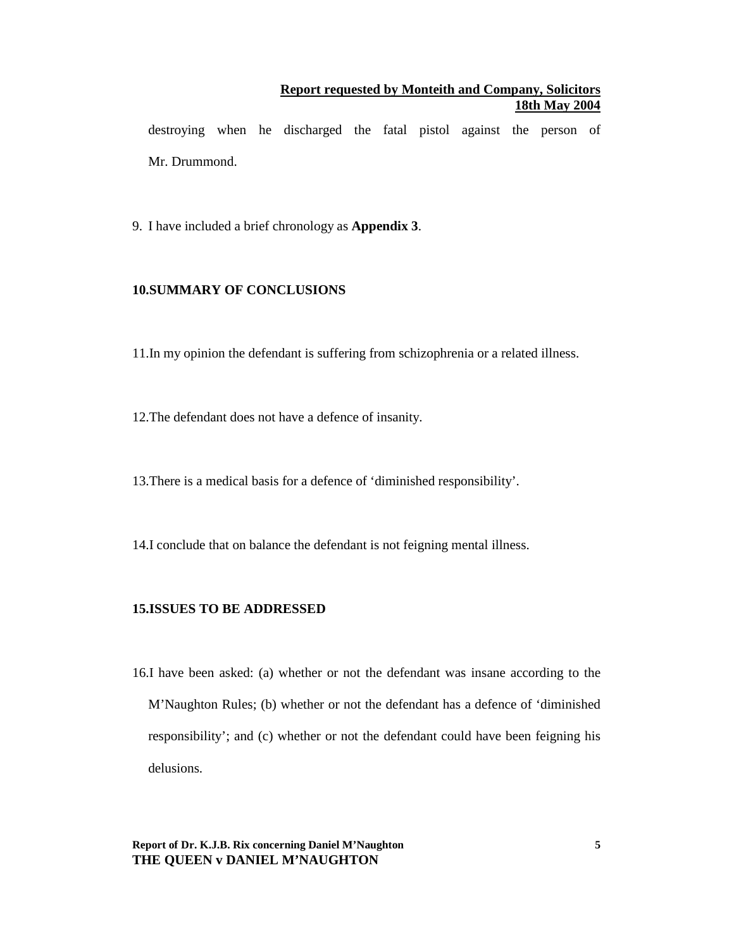destroying when he discharged the fatal pistol against the person of Mr. Drummond.

9. I have included a brief chronology as **Appendix 3**.

# **10.SUMMARY OF CONCLUSIONS**

11.In my opinion the defendant is suffering from schizophrenia or a related illness.

12.The defendant does not have a defence of insanity.

13.There is a medical basis for a defence of 'diminished responsibility'.

14.I conclude that on balance the defendant is not feigning mental illness.

## **15.ISSUES TO BE ADDRESSED**

16.I have been asked: (a) whether or not the defendant was insane according to the M'Naughton Rules; (b) whether or not the defendant has a defence of 'diminished responsibility'; and (c) whether or not the defendant could have been feigning his delusions.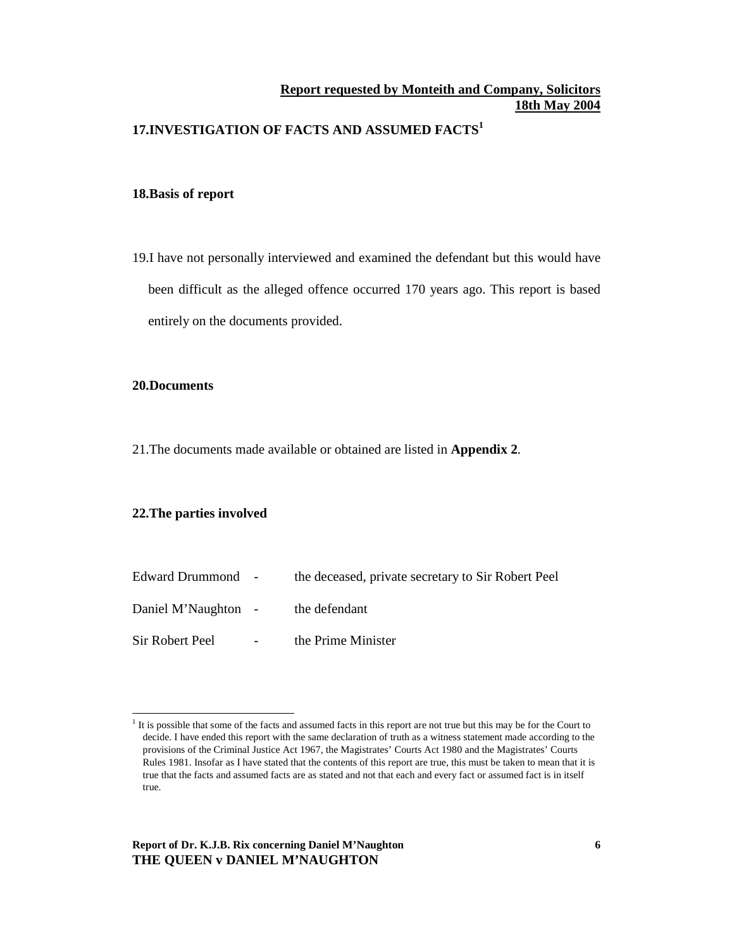# **17.INVESTIGATION OF FACTS AND ASSUMED FACTS<sup>1</sup>**

### **18.Basis of report**

19.I have not personally interviewed and examined the defendant but this would have been difficult as the alleged offence occurred 170 years ago. This report is based entirely on the documents provided.

### **20.Documents**

 $\overline{a}$ 

21.The documents made available or obtained are listed in **Appendix 2**.

### **22.The parties involved**

| Edward Drummond -   |            | the deceased, private secretary to Sir Robert Peel |
|---------------------|------------|----------------------------------------------------|
| Daniel M'Naughton - |            | the defendant                                      |
| Sir Robert Peel     | $\sim 100$ | the Prime Minister                                 |

<sup>&</sup>lt;sup>1</sup> It is possible that some of the facts and assumed facts in this report are not true but this may be for the Court to decide. I have ended this report with the same declaration of truth as a witness statement made according to the provisions of the Criminal Justice Act 1967, the Magistrates' Courts Act 1980 and the Magistrates' Courts Rules 1981. Insofar as I have stated that the contents of this report are true, this must be taken to mean that it is true that the facts and assumed facts are as stated and not that each and every fact or assumed fact is in itself true.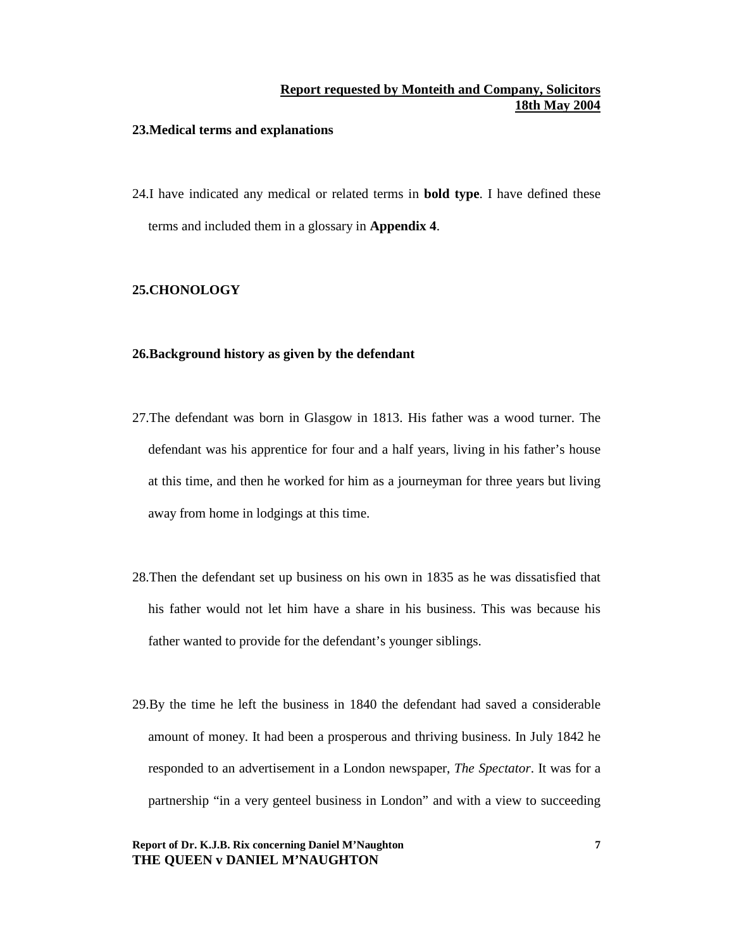#### **23.Medical terms and explanations**

24.I have indicated any medical or related terms in **bold type**. I have defined these terms and included them in a glossary in **Appendix 4**.

## **25.CHONOLOGY**

#### **26.Background history as given by the defendant**

- 27.The defendant was born in Glasgow in 1813. His father was a wood turner. The defendant was his apprentice for four and a half years, living in his father's house at this time, and then he worked for him as a journeyman for three years but living away from home in lodgings at this time.
- 28.Then the defendant set up business on his own in 1835 as he was dissatisfied that his father would not let him have a share in his business. This was because his father wanted to provide for the defendant's younger siblings.
- 29.By the time he left the business in 1840 the defendant had saved a considerable amount of money. It had been a prosperous and thriving business. In July 1842 he responded to an advertisement in a London newspaper, *The Spectator*. It was for a partnership "in a very genteel business in London" and with a view to succeeding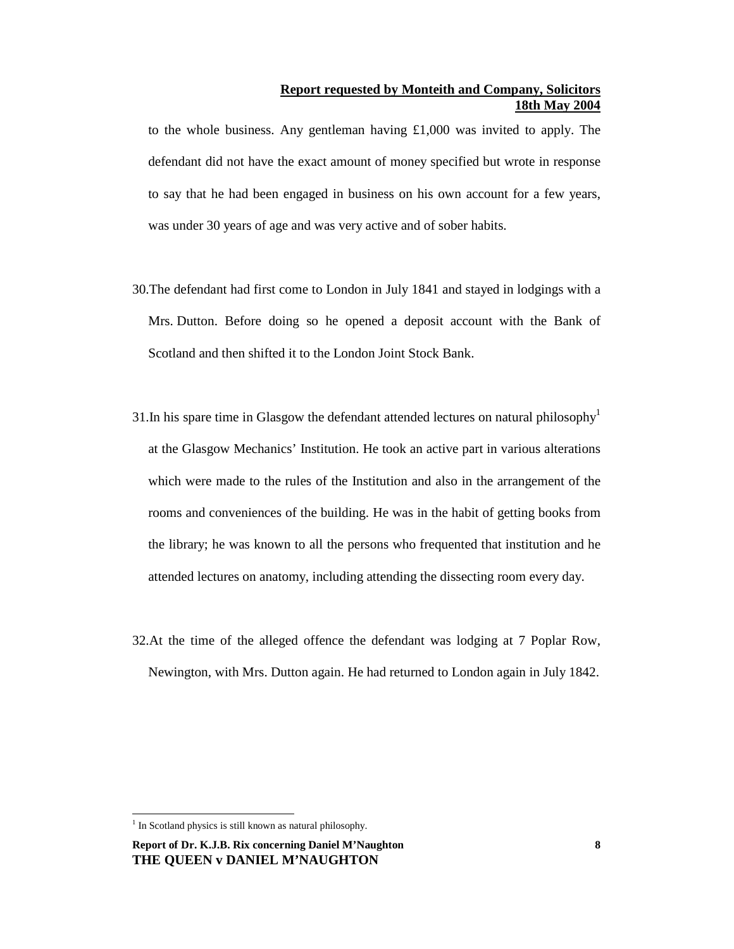to the whole business. Any gentleman having  $\pounds1,000$  was invited to apply. The defendant did not have the exact amount of money specified but wrote in response to say that he had been engaged in business on his own account for a few years, was under 30 years of age and was very active and of sober habits.

- 30.The defendant had first come to London in July 1841 and stayed in lodgings with a Mrs. Dutton. Before doing so he opened a deposit account with the Bank of Scotland and then shifted it to the London Joint Stock Bank.
- 31.In his spare time in Glasgow the defendant attended lectures on natural philosophy<sup>1</sup> at the Glasgow Mechanics' Institution. He took an active part in various alterations which were made to the rules of the Institution and also in the arrangement of the rooms and conveniences of the building. He was in the habit of getting books from the library; he was known to all the persons who frequented that institution and he attended lectures on anatomy, including attending the dissecting room every day.
- 32.At the time of the alleged offence the defendant was lodging at 7 Poplar Row, Newington, with Mrs. Dutton again. He had returned to London again in July 1842.

 $\overline{a}$ 

<sup>&</sup>lt;sup>1</sup> In Scotland physics is still known as natural philosophy.

**Report of Dr. K.J.B. Rix concerning Daniel M'Naughton THE QUEEN v DANIEL M'NAUGHTON**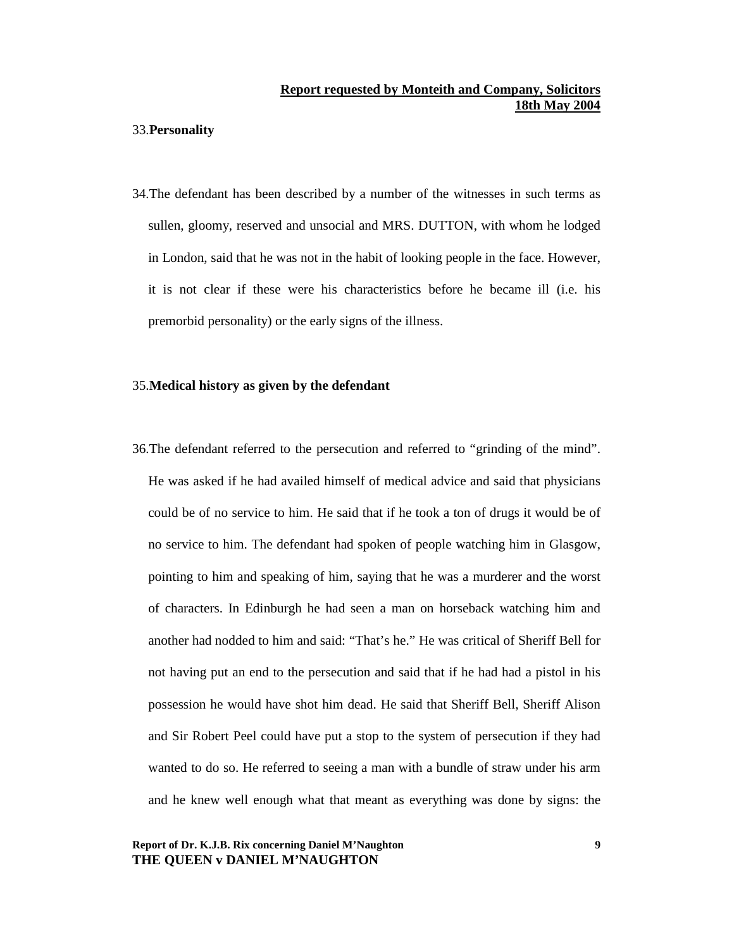#### 33.**Personality**

34.The defendant has been described by a number of the witnesses in such terms as sullen, gloomy, reserved and unsocial and MRS. DUTTON, with whom he lodged in London, said that he was not in the habit of looking people in the face. However, it is not clear if these were his characteristics before he became ill (i.e. his premorbid personality) or the early signs of the illness.

### 35.**Medical history as given by the defendant**

36.The defendant referred to the persecution and referred to "grinding of the mind". He was asked if he had availed himself of medical advice and said that physicians could be of no service to him. He said that if he took a ton of drugs it would be of no service to him. The defendant had spoken of people watching him in Glasgow, pointing to him and speaking of him, saying that he was a murderer and the worst of characters. In Edinburgh he had seen a man on horseback watching him and another had nodded to him and said: "That's he." He was critical of Sheriff Bell for not having put an end to the persecution and said that if he had had a pistol in his possession he would have shot him dead. He said that Sheriff Bell, Sheriff Alison and Sir Robert Peel could have put a stop to the system of persecution if they had wanted to do so. He referred to seeing a man with a bundle of straw under his arm and he knew well enough what that meant as everything was done by signs: the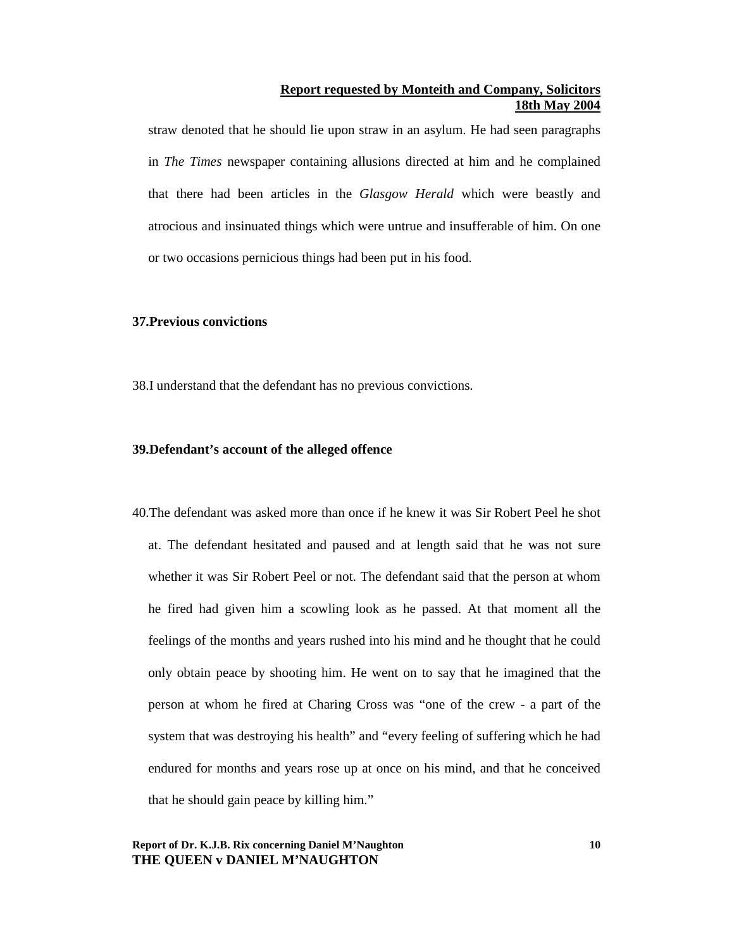straw denoted that he should lie upon straw in an asylum. He had seen paragraphs in *The Times* newspaper containing allusions directed at him and he complained that there had been articles in the *Glasgow Herald* which were beastly and atrocious and insinuated things which were untrue and insufferable of him. On one or two occasions pernicious things had been put in his food.

#### **37.Previous convictions**

38.I understand that the defendant has no previous convictions.

#### **39.Defendant's account of the alleged offence**

40.The defendant was asked more than once if he knew it was Sir Robert Peel he shot at. The defendant hesitated and paused and at length said that he was not sure whether it was Sir Robert Peel or not. The defendant said that the person at whom he fired had given him a scowling look as he passed. At that moment all the feelings of the months and years rushed into his mind and he thought that he could only obtain peace by shooting him. He went on to say that he imagined that the person at whom he fired at Charing Cross was "one of the crew - a part of the system that was destroying his health" and "every feeling of suffering which he had endured for months and years rose up at once on his mind, and that he conceived that he should gain peace by killing him."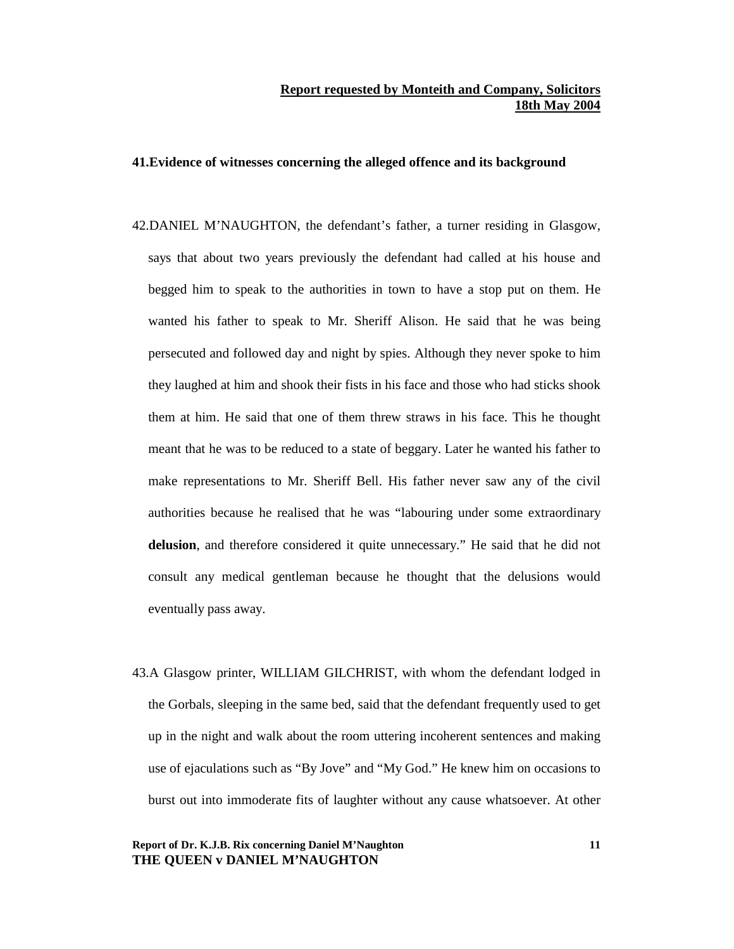### **41.Evidence of witnesses concerning the alleged offence and its background**

- 42.DANIEL M'NAUGHTON, the defendant's father, a turner residing in Glasgow, says that about two years previously the defendant had called at his house and begged him to speak to the authorities in town to have a stop put on them. He wanted his father to speak to Mr. Sheriff Alison. He said that he was being persecuted and followed day and night by spies. Although they never spoke to him they laughed at him and shook their fists in his face and those who had sticks shook them at him. He said that one of them threw straws in his face. This he thought meant that he was to be reduced to a state of beggary. Later he wanted his father to make representations to Mr. Sheriff Bell. His father never saw any of the civil authorities because he realised that he was "labouring under some extraordinary **delusion**, and therefore considered it quite unnecessary." He said that he did not consult any medical gentleman because he thought that the delusions would eventually pass away.
- 43.A Glasgow printer, WILLIAM GILCHRIST, with whom the defendant lodged in the Gorbals, sleeping in the same bed, said that the defendant frequently used to get up in the night and walk about the room uttering incoherent sentences and making use of ejaculations such as "By Jove" and "My God." He knew him on occasions to burst out into immoderate fits of laughter without any cause whatsoever. At other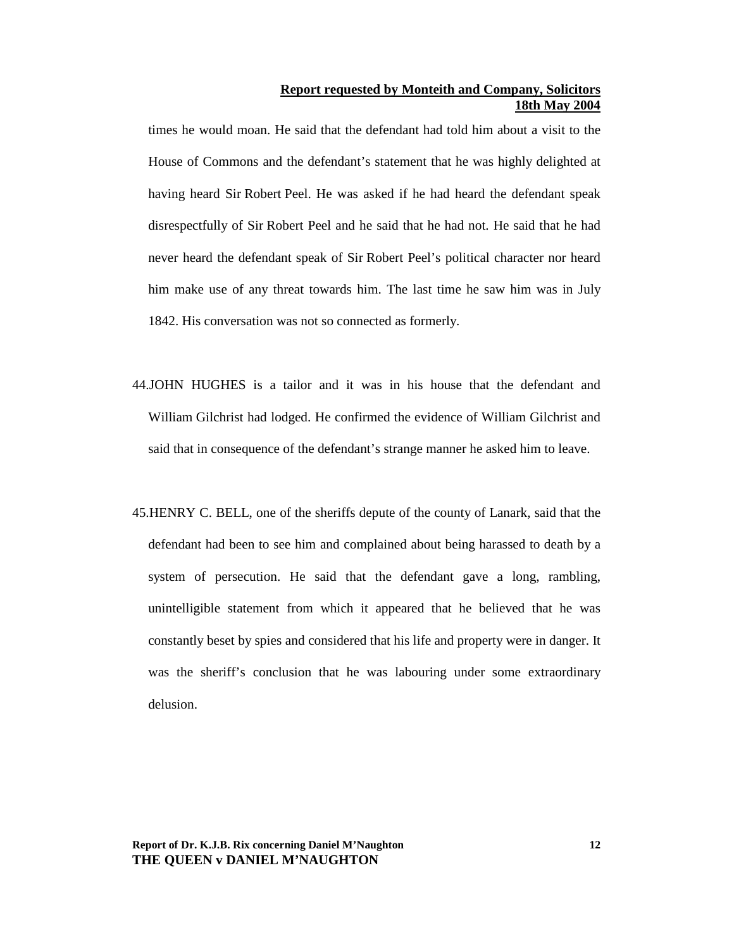times he would moan. He said that the defendant had told him about a visit to the House of Commons and the defendant's statement that he was highly delighted at having heard Sir Robert Peel. He was asked if he had heard the defendant speak disrespectfully of Sir Robert Peel and he said that he had not. He said that he had never heard the defendant speak of Sir Robert Peel's political character nor heard him make use of any threat towards him. The last time he saw him was in July 1842. His conversation was not so connected as formerly.

- 44.JOHN HUGHES is a tailor and it was in his house that the defendant and William Gilchrist had lodged. He confirmed the evidence of William Gilchrist and said that in consequence of the defendant's strange manner he asked him to leave.
- 45.HENRY C. BELL, one of the sheriffs depute of the county of Lanark, said that the defendant had been to see him and complained about being harassed to death by a system of persecution. He said that the defendant gave a long, rambling, unintelligible statement from which it appeared that he believed that he was constantly beset by spies and considered that his life and property were in danger. It was the sheriff's conclusion that he was labouring under some extraordinary delusion.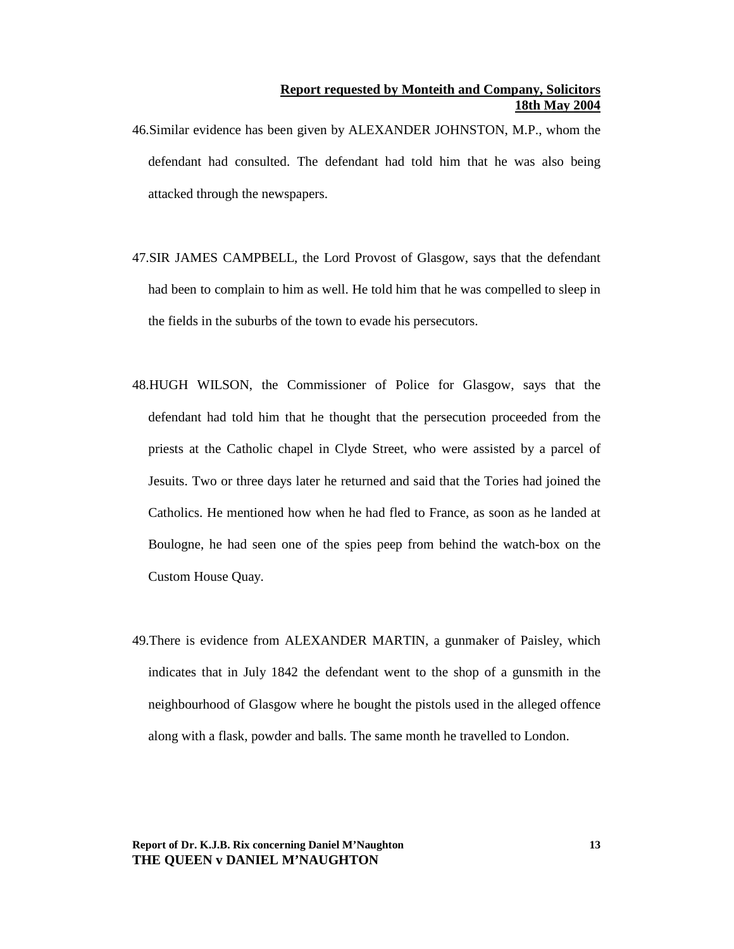- 46.Similar evidence has been given by ALEXANDER JOHNSTON, M.P., whom the defendant had consulted. The defendant had told him that he was also being attacked through the newspapers.
- 47.SIR JAMES CAMPBELL, the Lord Provost of Glasgow, says that the defendant had been to complain to him as well. He told him that he was compelled to sleep in the fields in the suburbs of the town to evade his persecutors.
- 48.HUGH WILSON, the Commissioner of Police for Glasgow, says that the defendant had told him that he thought that the persecution proceeded from the priests at the Catholic chapel in Clyde Street, who were assisted by a parcel of Jesuits. Two or three days later he returned and said that the Tories had joined the Catholics. He mentioned how when he had fled to France, as soon as he landed at Boulogne, he had seen one of the spies peep from behind the watch-box on the Custom House Quay.
- 49.There is evidence from ALEXANDER MARTIN, a gunmaker of Paisley, which indicates that in July 1842 the defendant went to the shop of a gunsmith in the neighbourhood of Glasgow where he bought the pistols used in the alleged offence along with a flask, powder and balls. The same month he travelled to London.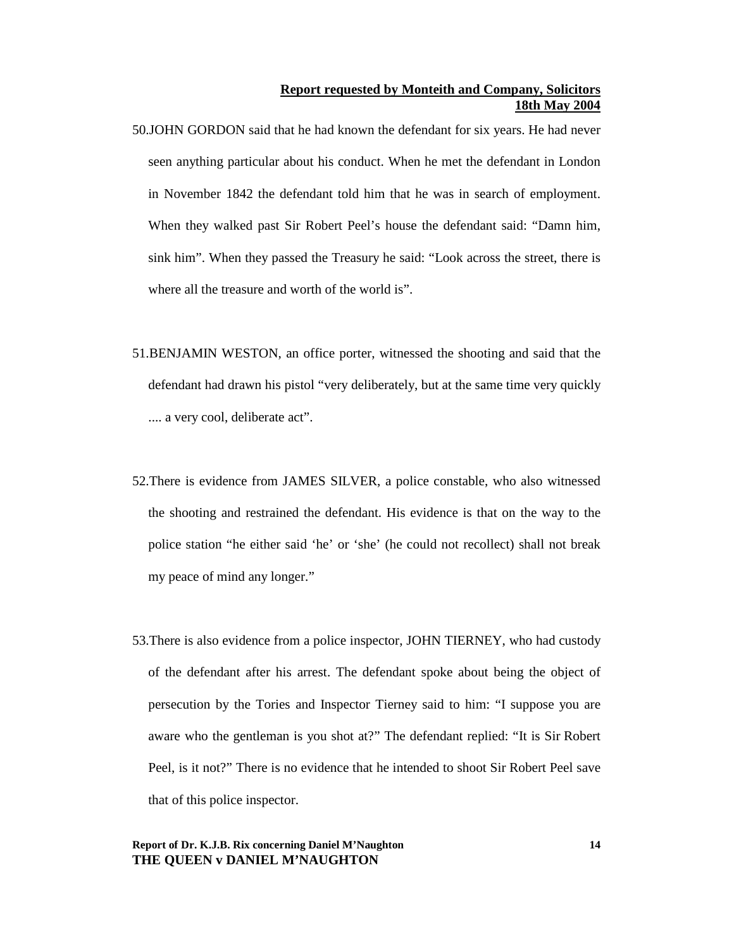- 50.JOHN GORDON said that he had known the defendant for six years. He had never seen anything particular about his conduct. When he met the defendant in London in November 1842 the defendant told him that he was in search of employment. When they walked past Sir Robert Peel's house the defendant said: "Damn him, sink him". When they passed the Treasury he said: "Look across the street, there is where all the treasure and worth of the world is".
- 51.BENJAMIN WESTON, an office porter, witnessed the shooting and said that the defendant had drawn his pistol "very deliberately, but at the same time very quickly .... a very cool, deliberate act".
- 52.There is evidence from JAMES SILVER, a police constable, who also witnessed the shooting and restrained the defendant. His evidence is that on the way to the police station "he either said 'he' or 'she' (he could not recollect) shall not break my peace of mind any longer."
- 53.There is also evidence from a police inspector, JOHN TIERNEY, who had custody of the defendant after his arrest. The defendant spoke about being the object of persecution by the Tories and Inspector Tierney said to him: "I suppose you are aware who the gentleman is you shot at?" The defendant replied: "It is Sir Robert Peel, is it not?" There is no evidence that he intended to shoot Sir Robert Peel save that of this police inspector.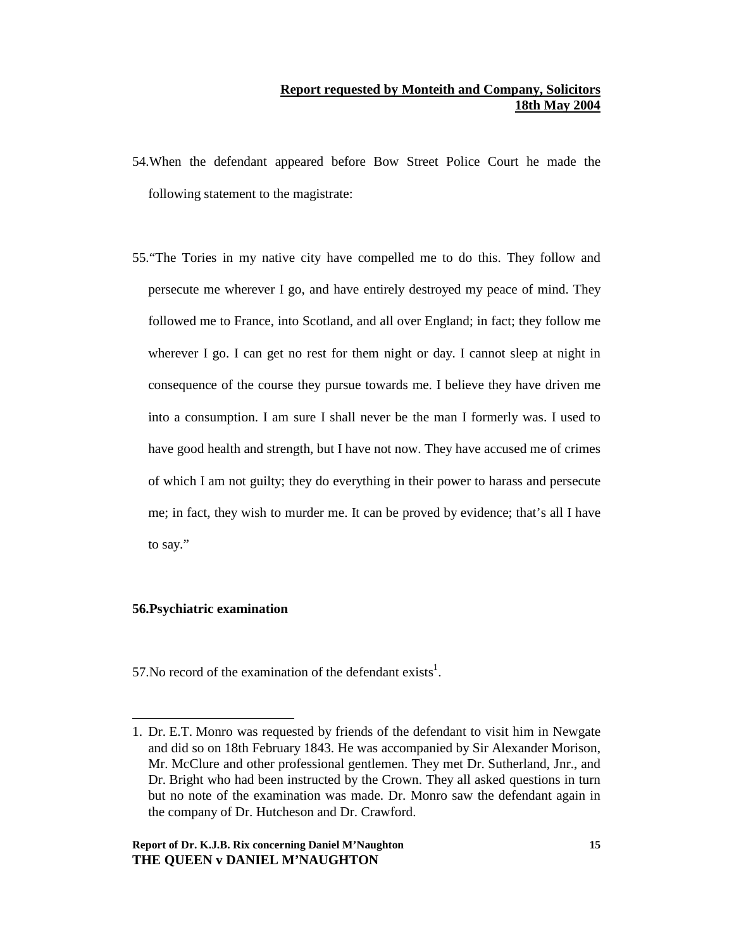- 54.When the defendant appeared before Bow Street Police Court he made the following statement to the magistrate:
- 55."The Tories in my native city have compelled me to do this. They follow and persecute me wherever I go, and have entirely destroyed my peace of mind. They followed me to France, into Scotland, and all over England; in fact; they follow me wherever I go. I can get no rest for them night or day. I cannot sleep at night in consequence of the course they pursue towards me. I believe they have driven me into a consumption. I am sure I shall never be the man I formerly was. I used to have good health and strength, but I have not now. They have accused me of crimes of which I am not guilty; they do everything in their power to harass and persecute me; in fact, they wish to murder me. It can be proved by evidence; that's all I have to say."

#### **56.Psychiatric examination**

 $\overline{a}$ 

57. No record of the examination of the defendant exists<sup>1</sup>.

<sup>1.</sup> Dr. E.T. Monro was requested by friends of the defendant to visit him in Newgate and did so on 18th February 1843. He was accompanied by Sir Alexander Morison, Mr. McClure and other professional gentlemen. They met Dr. Sutherland, Jnr., and Dr. Bright who had been instructed by the Crown. They all asked questions in turn but no note of the examination was made. Dr. Monro saw the defendant again in the company of Dr. Hutcheson and Dr. Crawford.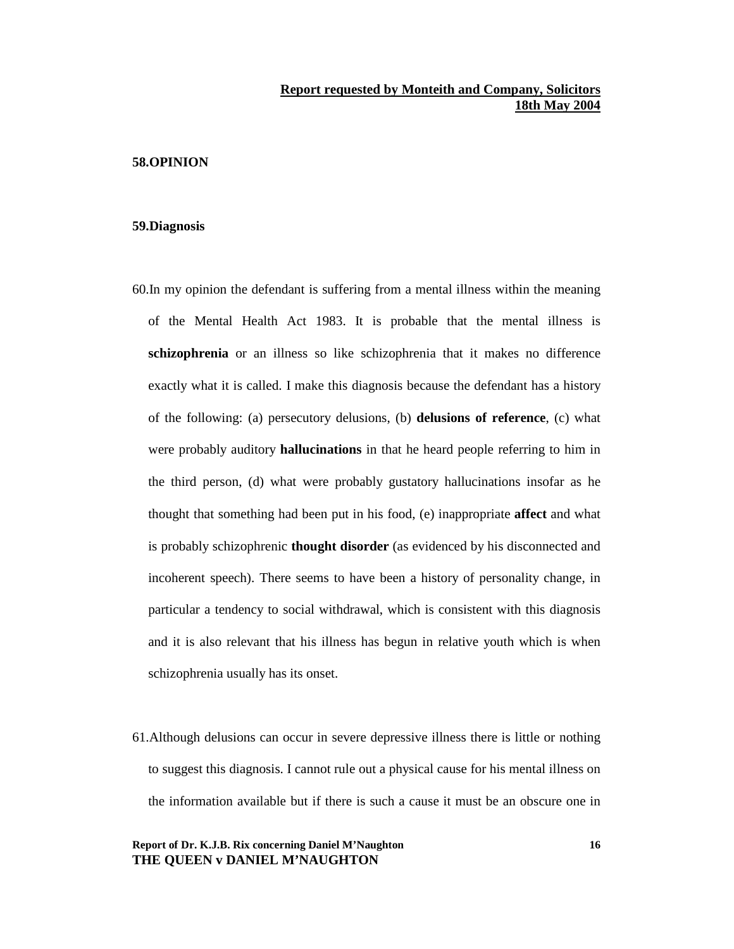#### **58.OPINION**

#### **59.Diagnosis**

- 60.In my opinion the defendant is suffering from a mental illness within the meaning of the Mental Health Act 1983. It is probable that the mental illness is **schizophrenia** or an illness so like schizophrenia that it makes no difference exactly what it is called. I make this diagnosis because the defendant has a history of the following: (a) persecutory delusions, (b) **delusions of reference**, (c) what were probably auditory **hallucinations** in that he heard people referring to him in the third person, (d) what were probably gustatory hallucinations insofar as he thought that something had been put in his food, (e) inappropriate **affect** and what is probably schizophrenic **thought disorder** (as evidenced by his disconnected and incoherent speech). There seems to have been a history of personality change, in particular a tendency to social withdrawal, which is consistent with this diagnosis and it is also relevant that his illness has begun in relative youth which is when schizophrenia usually has its onset.
- 61.Although delusions can occur in severe depressive illness there is little or nothing to suggest this diagnosis. I cannot rule out a physical cause for his mental illness on the information available but if there is such a cause it must be an obscure one in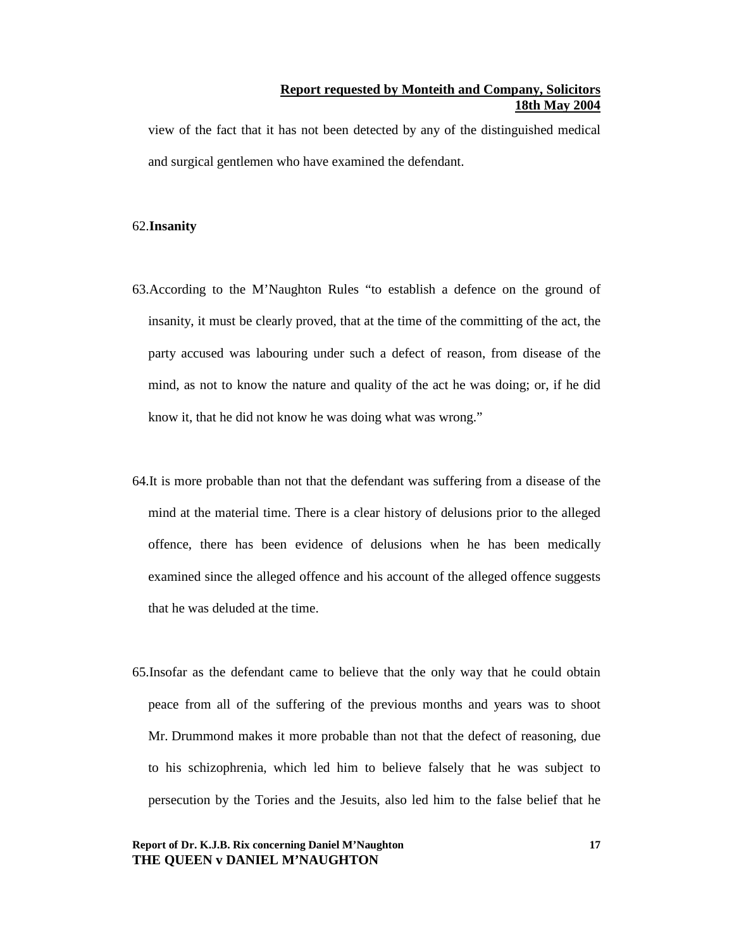view of the fact that it has not been detected by any of the distinguished medical and surgical gentlemen who have examined the defendant.

#### 62.**Insanity**

- 63.According to the M'Naughton Rules "to establish a defence on the ground of insanity, it must be clearly proved, that at the time of the committing of the act, the party accused was labouring under such a defect of reason, from disease of the mind, as not to know the nature and quality of the act he was doing; or, if he did know it, that he did not know he was doing what was wrong."
- 64.It is more probable than not that the defendant was suffering from a disease of the mind at the material time. There is a clear history of delusions prior to the alleged offence, there has been evidence of delusions when he has been medically examined since the alleged offence and his account of the alleged offence suggests that he was deluded at the time.
- 65.Insofar as the defendant came to believe that the only way that he could obtain peace from all of the suffering of the previous months and years was to shoot Mr. Drummond makes it more probable than not that the defect of reasoning, due to his schizophrenia, which led him to believe falsely that he was subject to persecution by the Tories and the Jesuits, also led him to the false belief that he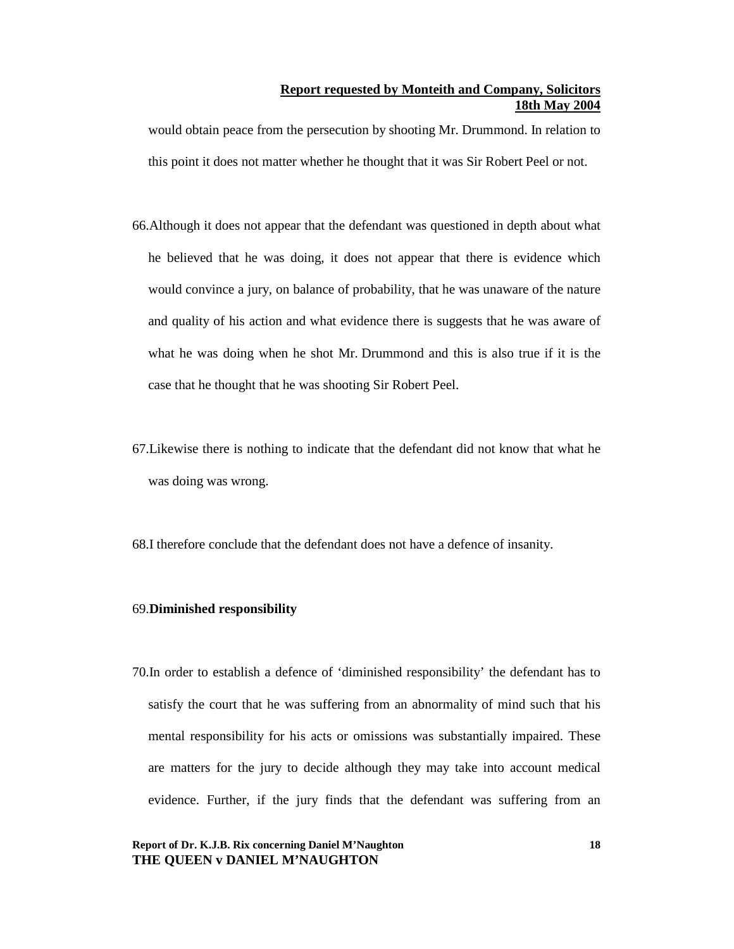would obtain peace from the persecution by shooting Mr. Drummond. In relation to this point it does not matter whether he thought that it was Sir Robert Peel or not.

- 66.Although it does not appear that the defendant was questioned in depth about what he believed that he was doing, it does not appear that there is evidence which would convince a jury, on balance of probability, that he was unaware of the nature and quality of his action and what evidence there is suggests that he was aware of what he was doing when he shot Mr. Drummond and this is also true if it is the case that he thought that he was shooting Sir Robert Peel.
- 67.Likewise there is nothing to indicate that the defendant did not know that what he was doing was wrong.
- 68.I therefore conclude that the defendant does not have a defence of insanity.

#### 69.**Diminished responsibility**

70.In order to establish a defence of 'diminished responsibility' the defendant has to satisfy the court that he was suffering from an abnormality of mind such that his mental responsibility for his acts or omissions was substantially impaired. These are matters for the jury to decide although they may take into account medical evidence. Further, if the jury finds that the defendant was suffering from an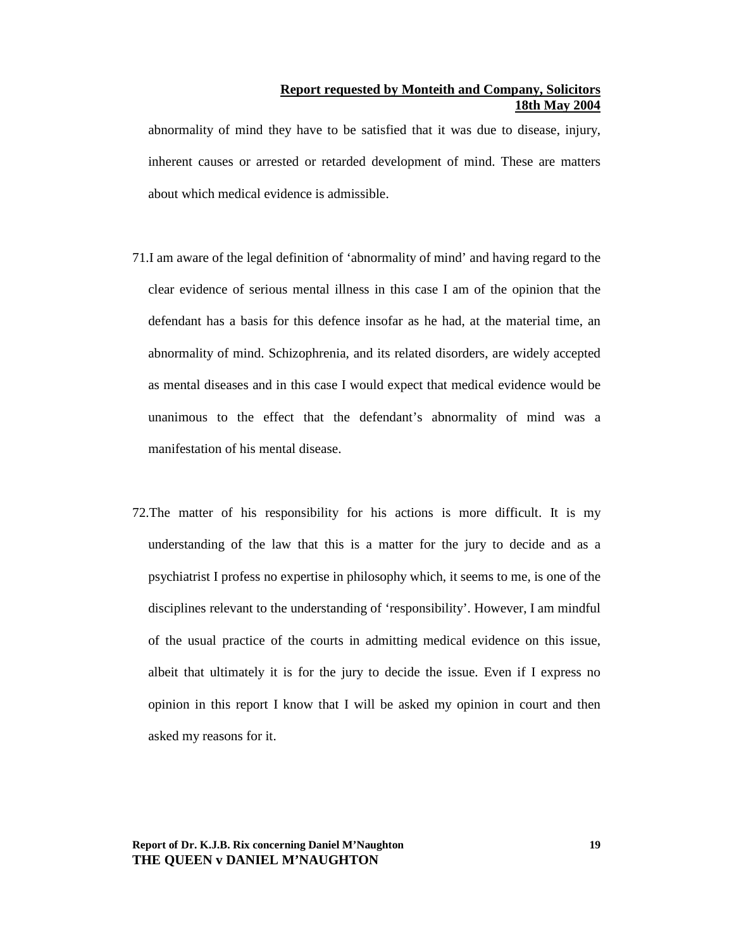abnormality of mind they have to be satisfied that it was due to disease, injury, inherent causes or arrested or retarded development of mind. These are matters about which medical evidence is admissible.

- 71.I am aware of the legal definition of 'abnormality of mind' and having regard to the clear evidence of serious mental illness in this case I am of the opinion that the defendant has a basis for this defence insofar as he had, at the material time, an abnormality of mind. Schizophrenia, and its related disorders, are widely accepted as mental diseases and in this case I would expect that medical evidence would be unanimous to the effect that the defendant's abnormality of mind was a manifestation of his mental disease.
- 72.The matter of his responsibility for his actions is more difficult. It is my understanding of the law that this is a matter for the jury to decide and as a psychiatrist I profess no expertise in philosophy which, it seems to me, is one of the disciplines relevant to the understanding of 'responsibility'. However, I am mindful of the usual practice of the courts in admitting medical evidence on this issue, albeit that ultimately it is for the jury to decide the issue. Even if I express no opinion in this report I know that I will be asked my opinion in court and then asked my reasons for it.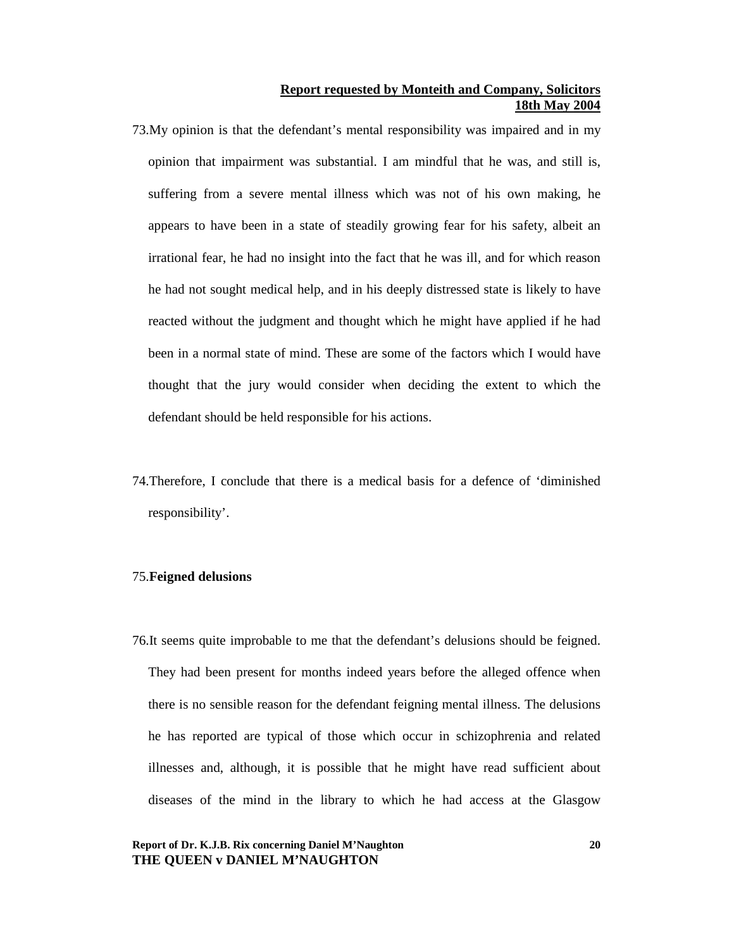- 73.My opinion is that the defendant's mental responsibility was impaired and in my opinion that impairment was substantial. I am mindful that he was, and still is, suffering from a severe mental illness which was not of his own making, he appears to have been in a state of steadily growing fear for his safety, albeit an irrational fear, he had no insight into the fact that he was ill, and for which reason he had not sought medical help, and in his deeply distressed state is likely to have reacted without the judgment and thought which he might have applied if he had been in a normal state of mind. These are some of the factors which I would have thought that the jury would consider when deciding the extent to which the defendant should be held responsible for his actions.
- 74.Therefore, I conclude that there is a medical basis for a defence of 'diminished responsibility'.

#### 75.**Feigned delusions**

76.It seems quite improbable to me that the defendant's delusions should be feigned. They had been present for months indeed years before the alleged offence when there is no sensible reason for the defendant feigning mental illness. The delusions he has reported are typical of those which occur in schizophrenia and related illnesses and, although, it is possible that he might have read sufficient about diseases of the mind in the library to which he had access at the Glasgow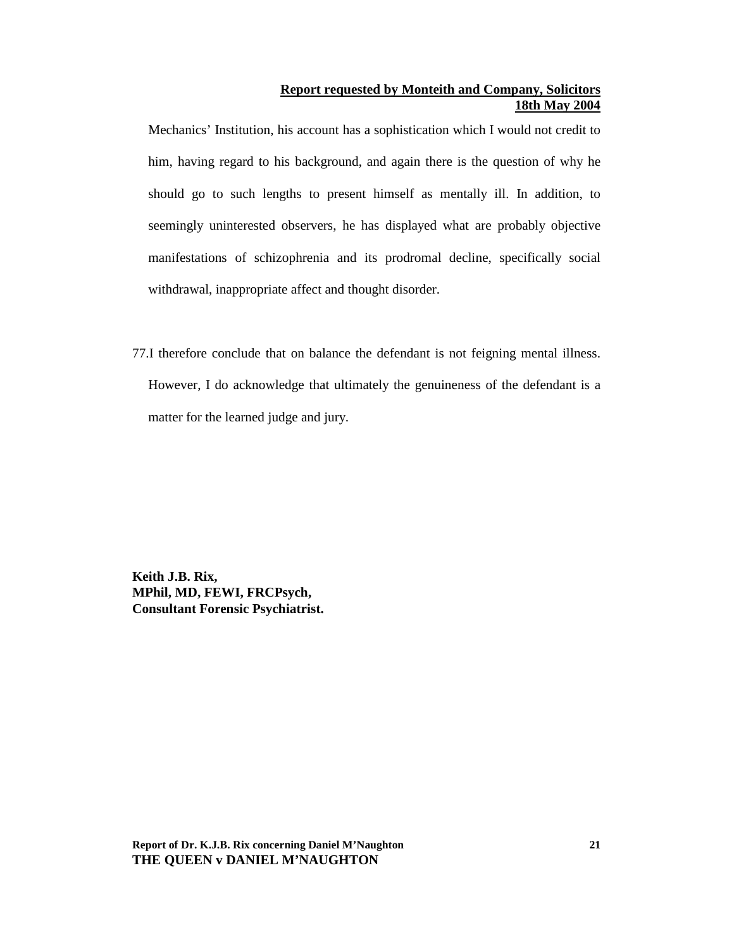Mechanics' Institution, his account has a sophistication which I would not credit to him, having regard to his background, and again there is the question of why he should go to such lengths to present himself as mentally ill. In addition, to seemingly uninterested observers, he has displayed what are probably objective manifestations of schizophrenia and its prodromal decline, specifically social withdrawal, inappropriate affect and thought disorder.

77.I therefore conclude that on balance the defendant is not feigning mental illness. However, I do acknowledge that ultimately the genuineness of the defendant is a matter for the learned judge and jury.

**Keith J.B. Rix, MPhil, MD, FEWI, FRCPsych, Consultant Forensic Psychiatrist.**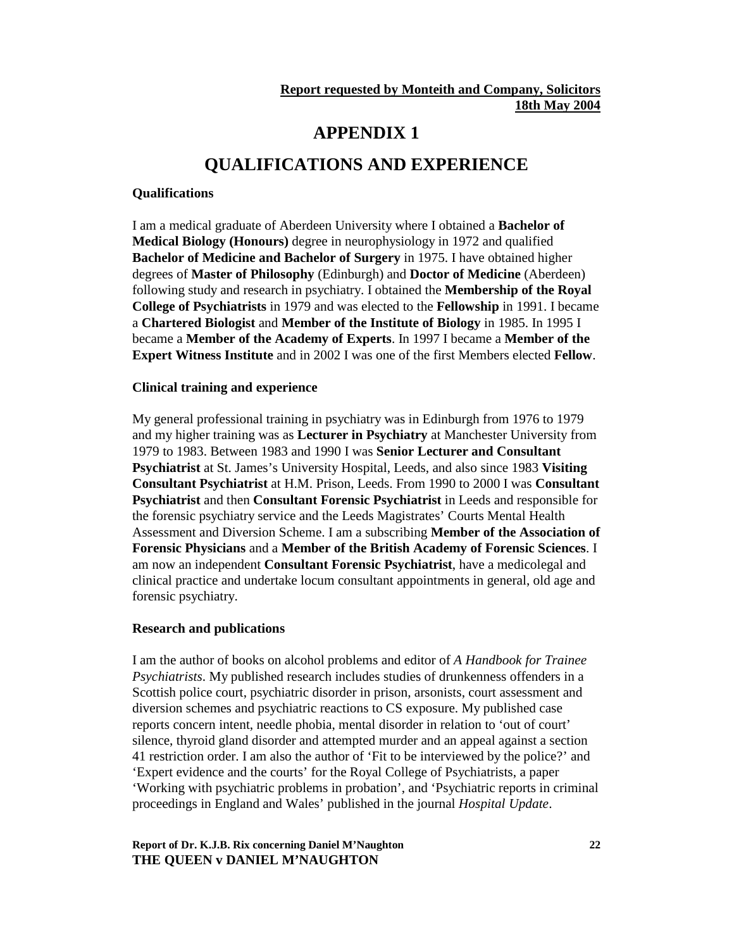# **APPENDIX 1**

# **QUALIFICATIONS AND EXPERIENCE**

## **Qualifications**

I am a medical graduate of Aberdeen University where I obtained a **Bachelor of Medical Biology (Honours)** degree in neurophysiology in 1972 and qualified **Bachelor of Medicine and Bachelor of Surgery** in 1975. I have obtained higher degrees of **Master of Philosophy** (Edinburgh) and **Doctor of Medicine** (Aberdeen) following study and research in psychiatry. I obtained the **Membership of the Royal College of Psychiatrists** in 1979 and was elected to the **Fellowship** in 1991. I became a **Chartered Biologist** and **Member of the Institute of Biology** in 1985. In 1995 I became a **Member of the Academy of Experts**. In 1997 I became a **Member of the Expert Witness Institute** and in 2002 I was one of the first Members elected **Fellow**.

### **Clinical training and experience**

My general professional training in psychiatry was in Edinburgh from 1976 to 1979 and my higher training was as **Lecturer in Psychiatry** at Manchester University from 1979 to 1983. Between 1983 and 1990 I was **Senior Lecturer and Consultant Psychiatrist** at St. James's University Hospital, Leeds, and also since 1983 **Visiting Consultant Psychiatrist** at H.M. Prison, Leeds. From 1990 to 2000 I was **Consultant Psychiatrist** and then **Consultant Forensic Psychiatrist** in Leeds and responsible for the forensic psychiatry service and the Leeds Magistrates' Courts Mental Health Assessment and Diversion Scheme. I am a subscribing **Member of the Association of Forensic Physicians** and a **Member of the British Academy of Forensic Sciences**. I am now an independent **Consultant Forensic Psychiatrist**, have a medicolegal and clinical practice and undertake locum consultant appointments in general, old age and forensic psychiatry.

### **Research and publications**

I am the author of books on alcohol problems and editor of *A Handbook for Trainee Psychiatrists*. My published research includes studies of drunkenness offenders in a Scottish police court, psychiatric disorder in prison, arsonists, court assessment and diversion schemes and psychiatric reactions to CS exposure. My published case reports concern intent, needle phobia, mental disorder in relation to 'out of court' silence, thyroid gland disorder and attempted murder and an appeal against a section 41 restriction order. I am also the author of 'Fit to be interviewed by the police?' and 'Expert evidence and the courts' for the Royal College of Psychiatrists, a paper 'Working with psychiatric problems in probation', and 'Psychiatric reports in criminal proceedings in England and Wales' published in the journal *Hospital Update*.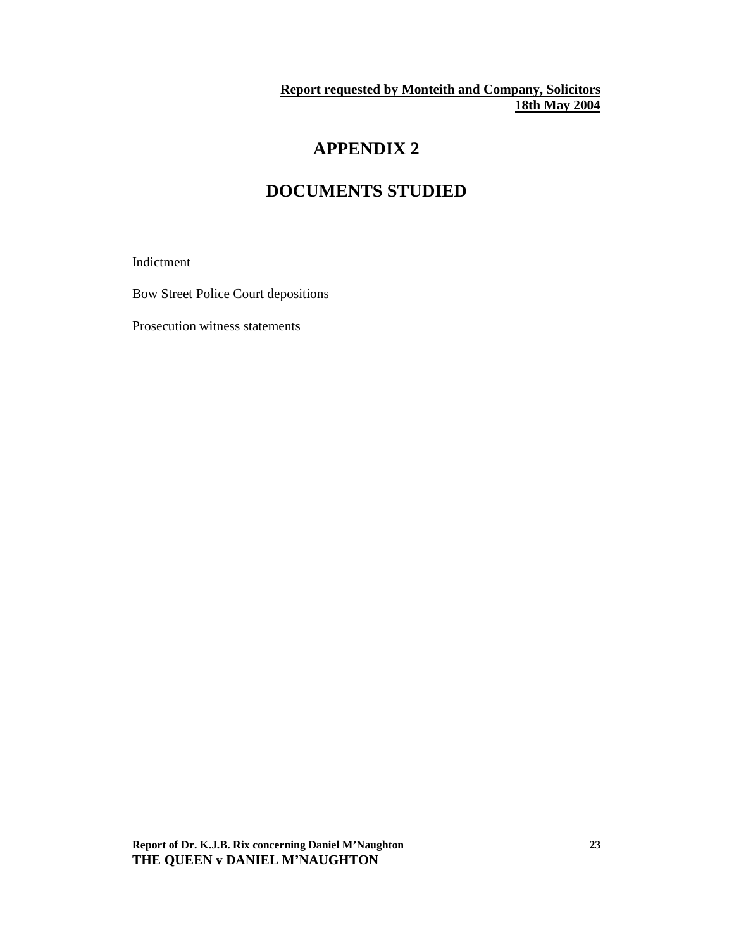# **APPENDIX 2**

# **DOCUMENTS STUDIED**

Indictment

Bow Street Police Court depositions

Prosecution witness statements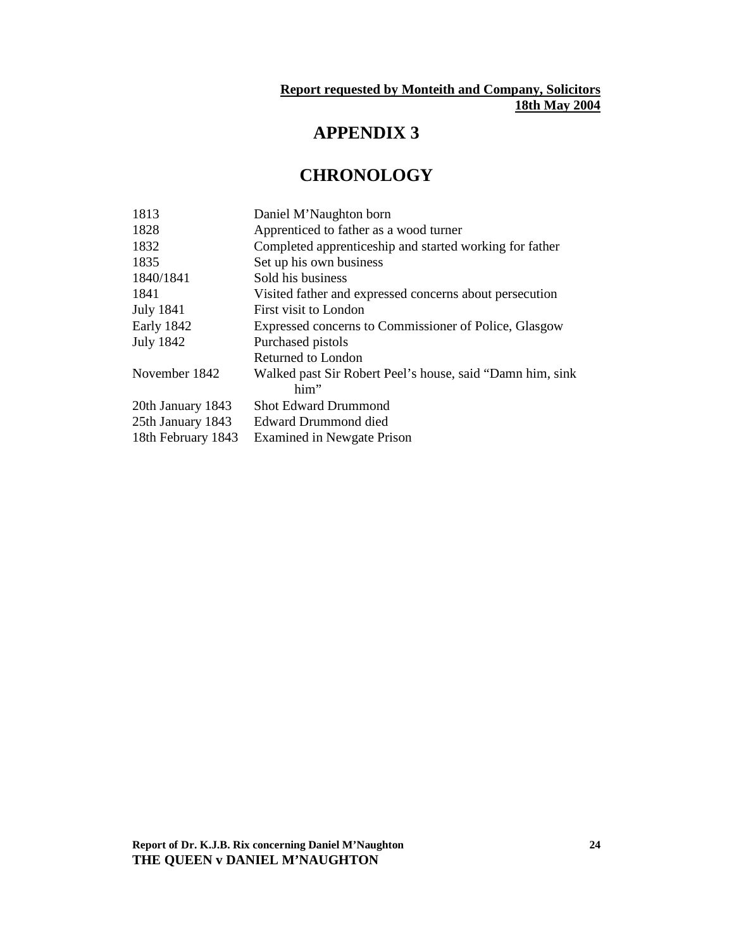# **APPENDIX 3**

# **CHRONOLOGY**

| 1813               | Daniel M'Naughton born                                     |
|--------------------|------------------------------------------------------------|
| 1828               | Apprenticed to father as a wood turner                     |
| 1832               | Completed apprenticeship and started working for father    |
| 1835               | Set up his own business                                    |
| 1840/1841          | Sold his business                                          |
| 1841               | Visited father and expressed concerns about persecution    |
| <b>July 1841</b>   | First visit to London                                      |
| <b>Early 1842</b>  | Expressed concerns to Commissioner of Police, Glasgow      |
| <b>July 1842</b>   | Purchased pistols                                          |
|                    | Returned to London                                         |
| November 1842      | Walked past Sir Robert Peel's house, said "Damn him, sink" |
|                    | him"                                                       |
| 20th January 1843  | <b>Shot Edward Drummond</b>                                |
| 25th January 1843  | Edward Drummond died                                       |
| 18th February 1843 | Examined in Newgate Prison                                 |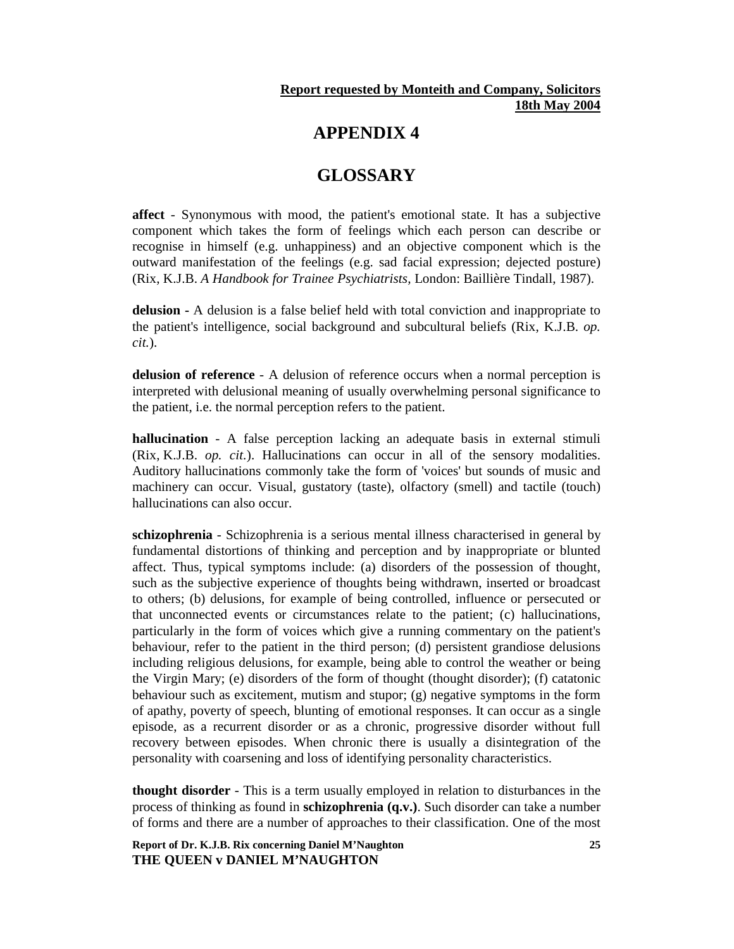# **APPENDIX 4**

# **GLOSSARY**

**affect** - Synonymous with mood, the patient's emotional state. It has a subjective component which takes the form of feelings which each person can describe or recognise in himself (e.g. unhappiness) and an objective component which is the outward manifestation of the feelings (e.g. sad facial expression; dejected posture) (Rix, K.J.B. *A Handbook for Trainee Psychiatrists,* London: Baillière Tindall, 1987).

**delusion -** A delusion is a false belief held with total conviction and inappropriate to the patient's intelligence, social background and subcultural beliefs (Rix, K.J.B. *op. cit.*).

**delusion of reference** - A delusion of reference occurs when a normal perception is interpreted with delusional meaning of usually overwhelming personal significance to the patient, i.e. the normal perception refers to the patient.

**hallucination** - A false perception lacking an adequate basis in external stimuli (Rix, K.J.B. *op. cit.*). Hallucinations can occur in all of the sensory modalities. Auditory hallucinations commonly take the form of 'voices' but sounds of music and machinery can occur. Visual, gustatory (taste), olfactory (smell) and tactile (touch) hallucinations can also occur.

**schizophrenia** - Schizophrenia is a serious mental illness characterised in general by fundamental distortions of thinking and perception and by inappropriate or blunted affect. Thus, typical symptoms include: (a) disorders of the possession of thought, such as the subjective experience of thoughts being withdrawn, inserted or broadcast to others; (b) delusions, for example of being controlled, influence or persecuted or that unconnected events or circumstances relate to the patient; (c) hallucinations, particularly in the form of voices which give a running commentary on the patient's behaviour, refer to the patient in the third person; (d) persistent grandiose delusions including religious delusions, for example, being able to control the weather or being the Virgin Mary; (e) disorders of the form of thought (thought disorder); (f) catatonic behaviour such as excitement, mutism and stupor; (g) negative symptoms in the form of apathy, poverty of speech, blunting of emotional responses. It can occur as a single episode, as a recurrent disorder or as a chronic, progressive disorder without full recovery between episodes. When chronic there is usually a disintegration of the personality with coarsening and loss of identifying personality characteristics.

**thought disorder** - This is a term usually employed in relation to disturbances in the process of thinking as found in **schizophrenia (q.v.)**. Such disorder can take a number of forms and there are a number of approaches to their classification. One of the most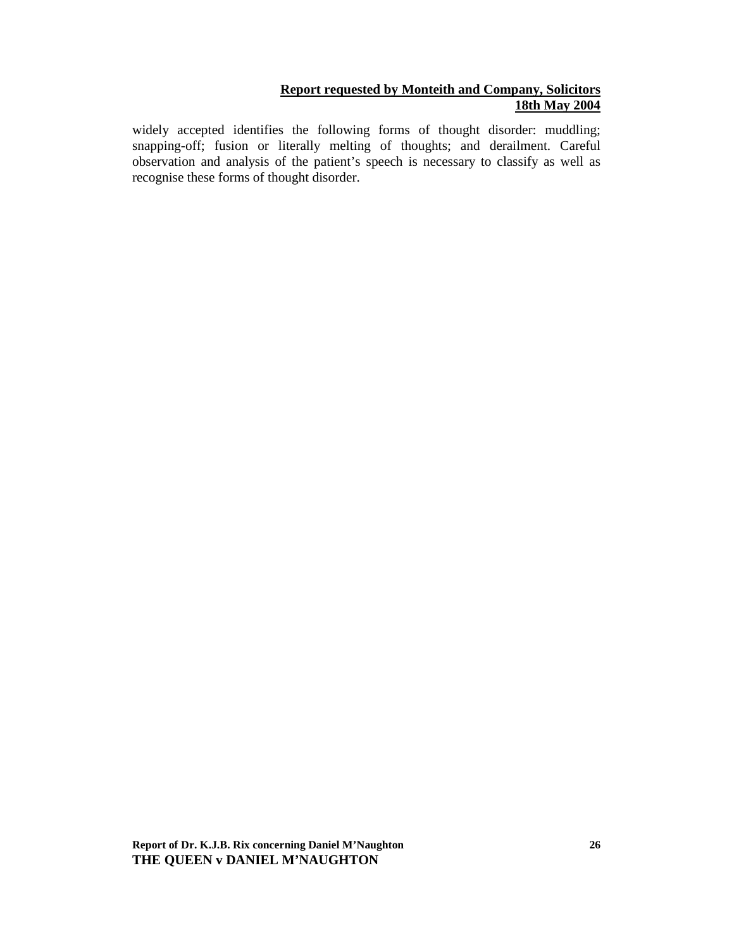widely accepted identifies the following forms of thought disorder: muddling; snapping-off; fusion or literally melting of thoughts; and derailment. Careful observation and analysis of the patient's speech is necessary to classify as well as recognise these forms of thought disorder.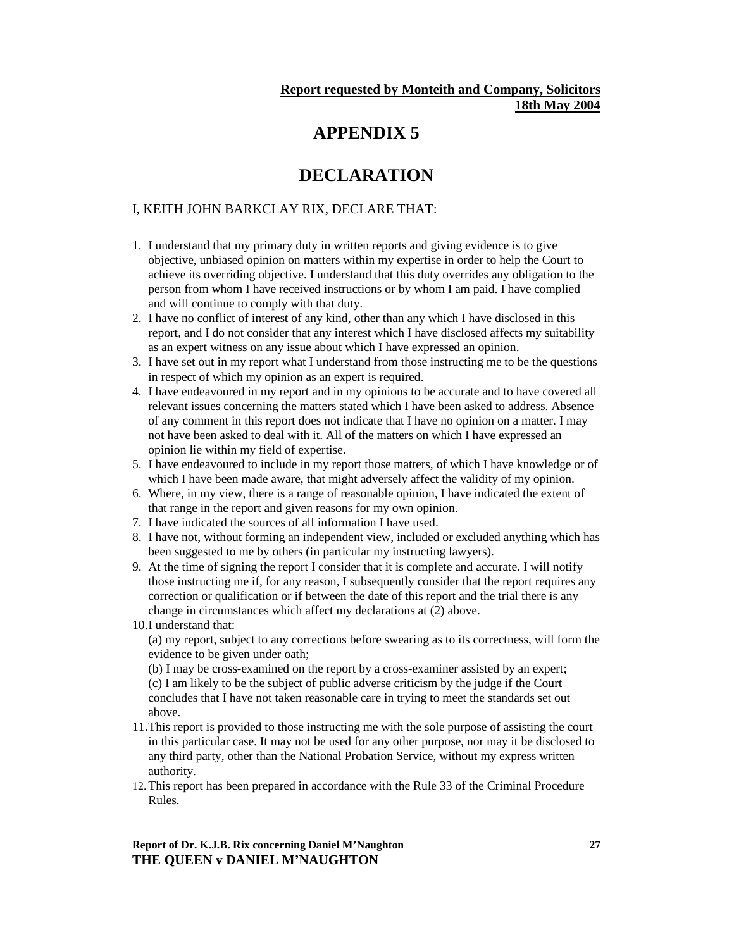# **APPENDIX 5**

# **DECLARATION**

## I, KEITH JOHN BARKCLAY RIX, DECLARE THAT:

- 1. I understand that my primary duty in written reports and giving evidence is to give objective, unbiased opinion on matters within my expertise in order to help the Court to achieve its overriding objective. I understand that this duty overrides any obligation to the person from whom I have received instructions or by whom I am paid. I have complied and will continue to comply with that duty.
- 2. I have no conflict of interest of any kind, other than any which I have disclosed in this report, and I do not consider that any interest which I have disclosed affects my suitability as an expert witness on any issue about which I have expressed an opinion.
- 3. I have set out in my report what I understand from those instructing me to be the questions in respect of which my opinion as an expert is required.
- 4. I have endeavoured in my report and in my opinions to be accurate and to have covered all relevant issues concerning the matters stated which I have been asked to address. Absence of any comment in this report does not indicate that I have no opinion on a matter. I may not have been asked to deal with it. All of the matters on which I have expressed an opinion lie within my field of expertise.
- 5. I have endeavoured to include in my report those matters, of which I have knowledge or of which I have been made aware, that might adversely affect the validity of my opinion.
- 6. Where, in my view, there is a range of reasonable opinion, I have indicated the extent of that range in the report and given reasons for my own opinion.
- 7. I have indicated the sources of all information I have used.
- 8. I have not, without forming an independent view, included or excluded anything which has been suggested to me by others (in particular my instructing lawyers).
- 9. At the time of signing the report I consider that it is complete and accurate. I will notify those instructing me if, for any reason, I subsequently consider that the report requires any correction or qualification or if between the date of this report and the trial there is any change in circumstances which affect my declarations at (2) above.
- 10.I understand that:

(a) my report, subject to any corrections before swearing as to its correctness, will form the evidence to be given under oath;

(b) I may be cross-examined on the report by a cross-examiner assisted by an expert; (c) I am likely to be the subject of public adverse criticism by the judge if the Court concludes that I have not taken reasonable care in trying to meet the standards set out above.

- 11.This report is provided to those instructing me with the sole purpose of assisting the court in this particular case. It may not be used for any other purpose, nor may it be disclosed to any third party, other than the National Probation Service, without my express written authority.
- 12.This report has been prepared in accordance with the Rule 33 of the Criminal Procedure Rules.